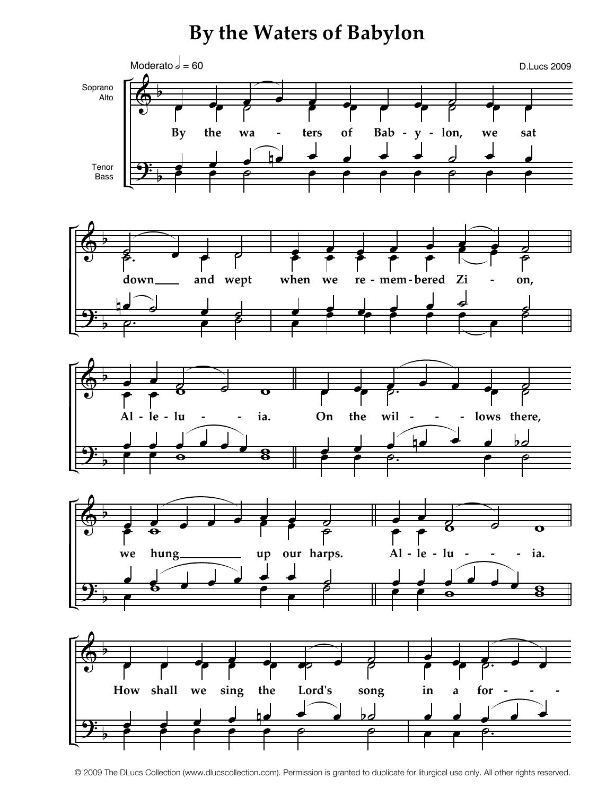## **By the Waters of Babylon**



<sup>© 2009</sup> The DLucs Collection (www.dlucscollection.com). Permission is granted to duplicate for liturgical use only. All other rights reserved.